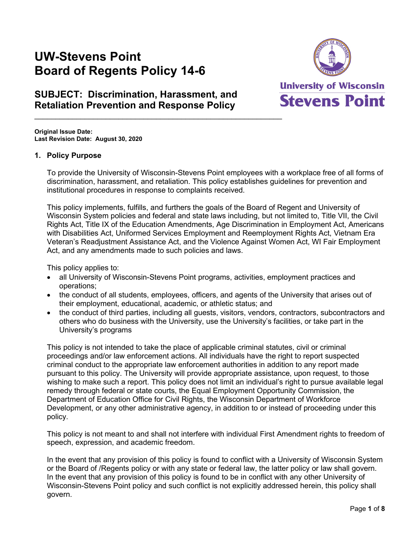# **UW-Stevens Point Board of Regents Policy 14-6**



# **SUBJECT: Discrimination, Harassment, and Retaliation Prevention and Response Policy**

**Original Issue Date: Last Revision Date: August 30, 2020**

# **1. Policy Purpose**

To provide the University of Wisconsin-Stevens Point employees with a workplace free of all forms of discrimination, harassment, and retaliation. This policy establishes guidelines for prevention and institutional procedures in response to complaints received.

This policy implements, fulfills, and furthers the goals of the Board of Regent and University of Wisconsin System policies and federal and state laws including, but not limited to, Title VII, the Civil Rights Act, Title IX of the Education Amendments, Age Discrimination in Employment Act, Americans with Disabilities Act, Uniformed Services Employment and Reemployment Rights Act, Vietnam Era Veteran's Readjustment Assistance Act, and the Violence Against Women Act, WI Fair Employment Act, and any amendments made to such policies and laws.

This policy applies to:

- all University of Wisconsin-Stevens Point programs, activities, employment practices and operations;
- the conduct of all students, employees, officers, and agents of the University that arises out of their employment, educational, academic, or athletic status; and
- the conduct of third parties, including all guests, visitors, vendors, contractors, subcontractors and others who do business with the University, use the University's facilities, or take part in the University's programs

This policy is not intended to take the place of applicable criminal statutes, civil or criminal proceedings and/or law enforcement actions. All individuals have the right to report suspected criminal conduct to the appropriate law enforcement authorities in addition to any report made pursuant to this policy. The University will provide appropriate assistance, upon request, to those wishing to make such a report. This policy does not limit an individual's right to pursue available legal remedy through federal or state courts, the Equal Employment Opportunity Commission, the Department of Education Office for Civil Rights, the Wisconsin Department of Workforce Development, or any other administrative agency, in addition to or instead of proceeding under this policy.

This policy is not meant to and shall not interfere with individual First Amendment rights to freedom of speech, expression, and academic freedom.

In the event that any provision of this policy is found to conflict with a University of Wisconsin System or the Board of /Regents policy or with any state or federal law, the latter policy or law shall govern. In the event that any provision of this policy is found to be in conflict with any other University of Wisconsin-Stevens Point policy and such conflict is not explicitly addressed herein, this policy shall govern.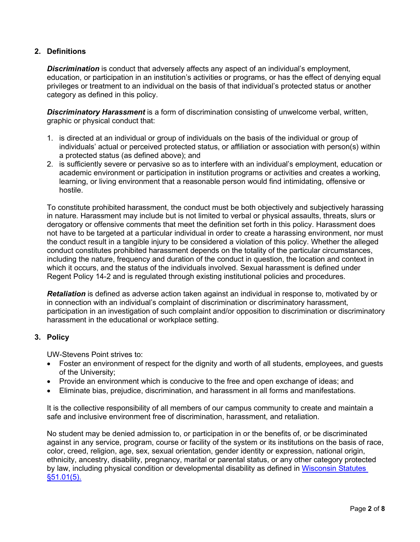# **2. Definitions**

*Discrimination* is conduct that adversely affects any aspect of an individual's employment, education, or participation in an institution's activities or programs, or has the effect of denying equal privileges or treatment to an individual on the basis of that individual's protected status or another category as defined in this policy.

*Discriminatory Harassment* is a form of discrimination consisting of unwelcome verbal, written, graphic or physical conduct that:

- 1. is directed at an individual or group of individuals on the basis of the individual or group of individuals' actual or perceived protected status, or affiliation or association with person(s) within a protected status (as defined above); and
- 2. is sufficiently severe or pervasive so as to interfere with an individual's employment, education or academic environment or participation in institution programs or activities and creates a working, learning, or living environment that a reasonable person would find intimidating, offensive or hostile.

To constitute prohibited harassment, the conduct must be both objectively and subjectively harassing in nature. Harassment may include but is not limited to verbal or physical assaults, threats, slurs or derogatory or offensive comments that meet the definition set forth in this policy. Harassment does not have to be targeted at a particular individual in order to create a harassing environment, nor must the conduct result in a tangible injury to be considered a violation of this policy. Whether the alleged conduct constitutes prohibited harassment depends on the totality of the particular circumstances, including the nature, frequency and duration of the conduct in question, the location and context in which it occurs, and the status of the individuals involved. Sexual harassment is defined under Regent Policy 14-2 and is regulated through existing institutional policies and procedures.

*Retaliation* is defined as adverse action taken against an individual in response to, motivated by or in connection with an individual's complaint of discrimination or discriminatory harassment, participation in an investigation of such complaint and/or opposition to discrimination or discriminatory harassment in the educational or workplace setting.

# **3. Policy**

UW-Stevens Point strives to:

- Foster an environment of respect for the dignity and worth of all students, employees, and guests of the University;
- Provide an environment which is conducive to the free and open exchange of ideas; and
- Eliminate bias, prejudice, discrimination, and harassment in all forms and manifestations.

It is the collective responsibility of all members of our campus community to create and maintain a safe and inclusive environment free of discrimination, harassment, and retaliation.

No student may be denied admission to, or participation in or the benefits of, or be discriminated against in any service, program, course or facility of the system or its institutions on the basis of race, color, creed, religion, age, sex, sexual orientation, gender identity or expression, national origin, ethnicity, ancestry, disability, pregnancy, marital or parental status, or any other category protected by law, including physical condition or developmental disability as defined in [Wisconsin Statutes](https://docs.legis.wisconsin.gov/statutes/statutes/51/01/5)  [§51.01\(5\).](https://docs.legis.wisconsin.gov/statutes/statutes/51/01/5)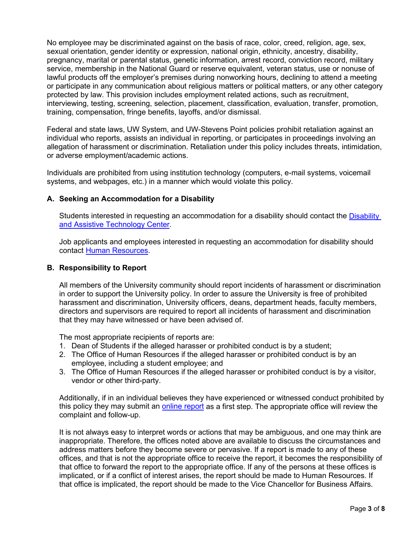No employee may be discriminated against on the basis of race, color, creed, religion, age, sex, sexual orientation, gender identity or expression, national origin, ethnicity, ancestry, disability, pregnancy, marital or parental status, genetic information, arrest record, conviction record, military service, membership in the National Guard or reserve equivalent, veteran status, use or nonuse of lawful products off the employer's premises during nonworking hours, declining to attend a meeting or participate in any communication about religious matters or political matters, or any other category protected by law. This provision includes employment related actions, such as recruitment, interviewing, testing, screening, selection, placement, classification, evaluation, transfer, promotion, training, compensation, fringe benefits, layoffs, and/or dismissal.

Federal and state laws, UW System, and UW-Stevens Point policies prohibit retaliation against an individual who reports, assists an individual in reporting, or participates in proceedings involving an allegation of harassment or discrimination. Retaliation under this policy includes threats, intimidation, or adverse employment/academic actions.

Individuals are prohibited from using institution technology (computers, e-mail systems, voicemail systems, and webpages, etc.) in a manner which would violate this policy.

#### **A. Seeking an Accommodation for a Disability**

Students interested in requesting an accommodation for a disability should contact the [Disability](https://www.uwsp.edu/datc/Pages/contact.aspx)  [and Assistive Technology Center.](https://www.uwsp.edu/datc/Pages/contact.aspx)

Job applicants and employees interested in requesting an accommodation for disability should contact [Human Resources.](https://www.uwsp.edu/hr/Pages/default.aspx)

#### **B. Responsibility to Report**

All members of the University community should report incidents of harassment or discrimination in order to support the University policy. In order to assure the University is free of prohibited harassment and discrimination, University officers, deans, department heads, faculty members, directors and supervisors are required to report all incidents of harassment and discrimination that they may have witnessed or have been advised of.

The most appropriate recipients of reports are:

- 1. Dean of Students if the alleged harasser or prohibited conduct is by a student;
- 2. The Office of Human Resources if the alleged harasser or prohibited conduct is by an employee, including a student employee; and
- 3. The Office of Human Resources if the alleged harasser or prohibited conduct is by a visitor, vendor or other third-party.

Additionally, if in an individual believes they have experienced or witnessed conduct prohibited by this policy they may submit an [online report](http://www.uwsp.edu/hr/Pages/Affirmative%20Action/Report-a-Concern.aspx) as a first step. The appropriate office will review the complaint and follow-up.

It is not always easy to interpret words or actions that may be ambiguous, and one may think are inappropriate. Therefore, the offices noted above are available to discuss the circumstances and address matters before they become severe or pervasive. If a report is made to any of these offices, and that is not the appropriate office to receive the report, it becomes the responsibility of that office to forward the report to the appropriate office. If any of the persons at these offices is implicated, or if a conflict of interest arises, the report should be made to Human Resources. If that office is implicated, the report should be made to the Vice Chancellor for Business Affairs.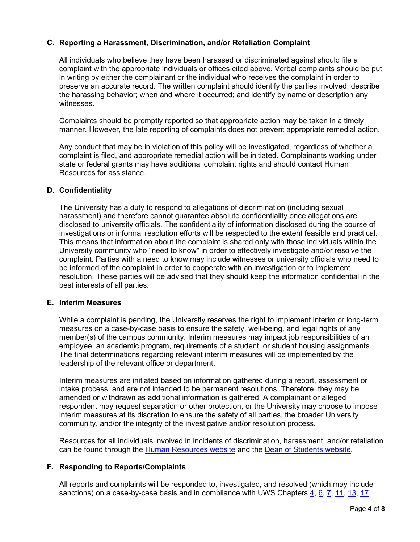# **C. Reporting a Harassment, Discrimination, and/or Retaliation Complaint**

All individuals who believe they have been harassed or discriminated against should file a complaint with the appropriate individuals or offices cited above. Verbal complaints should be put in writing by either the complainant or the individual who receives the complaint in order to preserve an accurate record. The written complaint should identify the parties involved; describe the harassing behavior; when and where it occurred; and identify by name or description any witnesses.

Complaints should be promptly reported so that appropriate action may be taken in a timely manner. However, the late reporting of complaints does not prevent appropriate remedial action.

Any conduct that may be in violation of this policy will be investigated, regardless of whether a complaint is filed, and appropriate remedial action will be initiated. Complainants working under state or federal grants may have additional complaint rights and should contact Human Resources for assistance.

# **D. Confidentiality**

The University has a duty to respond to allegations of discrimination (including sexual harassment) and therefore cannot guarantee absolute confidentiality once allegations are disclosed to university officials. The confidentiality of information disclosed during the course of investigations or informal resolution efforts will be respected to the extent feasible and practical. This means that information about the complaint is shared only with those individuals within the University community who "need to know" in order to effectively investigate and/or resolve the complaint. Parties with a need to know may include witnesses or university officials who need to be informed of the complaint in order to cooperate with an investigation or to implement resolution. These parties will be advised that they should keep the information confidential in the best interests of all parties.

#### **E. Interim Measures**

While a complaint is pending, the University reserves the right to implement interim or long-term measures on a case-by-case basis to ensure the safety, well-being, and legal rights of any member(s) of the campus community. Interim measures may impact job responsibilities of an employee, an academic program, requirements of a student, or student housing assignments. The final determinations regarding relevant interim measures will be implemented by the leadership of the relevant office or department.

Interim measures are initiated based on information gathered during a report, assessment or intake process, and are not intended to be permanent resolutions. Therefore, they may be amended or withdrawn as additional information is gathered. A complainant or alleged respondent may request separation or other protection, or the University may choose to impose interim measures at its discretion to ensure the safety of all parties, the broader University community, and/or the integrity of the investigative and/or resolution process.

Resources for all individuals involved in incidents of discrimination, harassment, and/or retaliation can be found through the [Human Resources website](https://www.uwsp.edu/hr/Pages/Affirmative%20Action/prevention.aspx) and the [Dean of Students website.](https://www.uwsp.edu/dos/sexualassault/Pages/default.aspx)

# **F. Responding to Reports/Complaints**

All reports and complaints will be responded to, investigated, and resolved (which may include sanctions) on a case-by-case basis and in compliance with UWS Chapters [4,](https://docs.legis.wisconsin.gov/code/admin_code/uws/4) [6,](https://docs.legis.wisconsin.gov/code/admin_code/uws/6) [7,](https://docs.legis.wisconsin.gov/code/admin_code/uws/7) [11,](https://docs.legis.wisconsin.gov/code/admin_code/uws/11) [13,](https://docs.legis.wisconsin.gov/code/admin_code/uws/13) [17,](https://docs.legis.wisconsin.gov/code/admin_code/uws/17)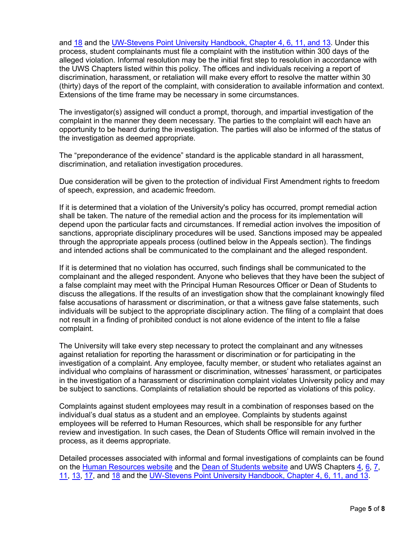and [18](https://docs.legis.wisconsin.gov/code/admin_code/uws/18) and the [UW-Stevens Point University Handbook, Chapter 4,](http://www.uwsp.edu/acadaff/Pages/handbook.aspx) 6, 11, and 13. Under this process, student complainants must file a complaint with the institution within 300 days of the alleged violation. Informal resolution may be the initial first step to resolution in accordance with the UWS Chapters listed within this policy. The offices and individuals receiving a report of discrimination, harassment, or retaliation will make every effort to resolve the matter within 30 (thirty) days of the report of the complaint, with consideration to available information and context. Extensions of the time frame may be necessary in some circumstances.

The investigator(s) assigned will conduct a prompt, thorough, and impartial investigation of the complaint in the manner they deem necessary. The parties to the complaint will each have an opportunity to be heard during the investigation. The parties will also be informed of the status of the investigation as deemed appropriate.

The "preponderance of the evidence" standard is the applicable standard in all harassment, discrimination, and retaliation investigation procedures.

Due consideration will be given to the protection of individual First Amendment rights to freedom of speech, expression, and academic freedom.

If it is determined that a violation of the University's policy has occurred, prompt remedial action shall be taken. The nature of the remedial action and the process for its implementation will depend upon the particular facts and circumstances. If remedial action involves the imposition of sanctions, appropriate disciplinary procedures will be used. Sanctions imposed may be appealed through the appropriate appeals process (outlined below in the Appeals section). The findings and intended actions shall be communicated to the complainant and the alleged respondent.

If it is determined that no violation has occurred, such findings shall be communicated to the complainant and the alleged respondent. Anyone who believes that they have been the subject of a false complaint may meet with the Principal Human Resources Officer or Dean of Students to discuss the allegations. If the results of an investigation show that the complainant knowingly filed false accusations of harassment or discrimination, or that a witness gave false statements, such individuals will be subject to the appropriate disciplinary action. The filing of a complaint that does not result in a finding of prohibited conduct is not alone evidence of the intent to file a false complaint.

The University will take every step necessary to protect the complainant and any witnesses against retaliation for reporting the harassment or discrimination or for participating in the investigation of a complaint. Any employee, faculty member, or student who retaliates against an individual who complains of harassment or discrimination, witnesses' harassment, or participates in the investigation of a harassment or discrimination complaint violates University policy and may be subject to sanctions. Complaints of retaliation should be reported as violations of this policy.

Complaints against student employees may result in a combination of responses based on the individual's dual status as a student and an employee. Complaints by students against employees will be referred to Human Resources, which shall be responsible for any further review and investigation. In such cases, the Dean of Students Office will remain involved in the process, as it deems appropriate.

Detailed processes associated with informal and formal investigations of complaints can be found on the [Human Resources website](https://www.uwsp.edu/hr/Pages/Affirmative%20Action/prevention.aspx) and the [Dean of Students website](https://www.uwsp.edu/dos/sexualassault/Pages/default.aspx) and UWS Chapters [4,](https://docs.legis.wisconsin.gov/code/admin_code/uws/4) [6,](https://docs.legis.wisconsin.gov/code/admin_code/uws/6) [7,](https://docs.legis.wisconsin.gov/code/admin_code/uws/7) [11,](https://docs.legis.wisconsin.gov/code/admin_code/uws/11) [13,](https://docs.legis.wisconsin.gov/code/admin_code/uws/13) [17,](https://docs.legis.wisconsin.gov/code/admin_code/uws/17) and [18](https://docs.legis.wisconsin.gov/code/admin_code/uws/18) and the [UW-Stevens Point University Handbook, Chapter 4,](http://www.uwsp.edu/acadaff/Pages/handbook.aspx) 6, 11, and 13.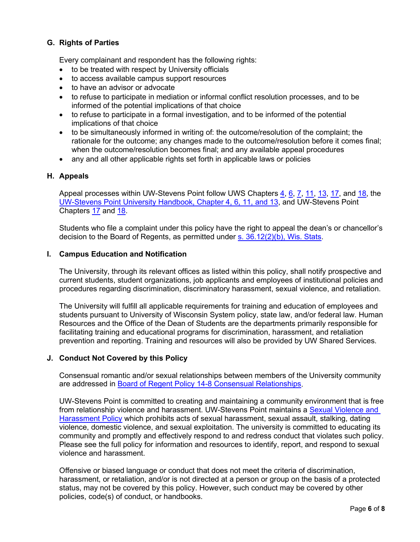# **G. Rights of Parties**

Every complainant and respondent has the following rights:

- to be treated with respect by University officials
- to access available campus support resources
- to have an advisor or advocate
- to refuse to participate in mediation or informal conflict resolution processes, and to be informed of the potential implications of that choice
- to refuse to participate in a formal investigation, and to be informed of the potential implications of that choice
- to be simultaneously informed in writing of: the outcome/resolution of the complaint; the rationale for the outcome; any changes made to the outcome/resolution before it comes final; when the outcome/resolution becomes final; and any available appeal procedures
- any and all other applicable rights set forth in applicable laws or policies

#### **H. Appeals**

Appeal processes within UW-Stevens Point follow UWS Chapters  $\frac{4}{16}$ ,  $\frac{7}{11}$ ,  $\frac{13}{17}$ ,  $\frac{17}{18}$ , the [UW-Stevens Point University Handbook, Chapter 4,](http://www.uwsp.edu/acadaff/Pages/handbook.aspx) 6, 11, and 13, and UW-Stevens Point Chapters [17](https://www.uwsp.edu/dos/Documents/UWSP-CH17-Updated-August2020.pdf) and [18.](https://www.uwsp.edu/titleIX/Documents/CH18-UWSP-2019.pdf)

Students who file a complaint under this policy have the right to appeal the dean's or chancellor's decision to the Board of Regents, as permitted under [s. 36.12\(2\)\(b\), Wis. Stats.](https://docs.legis.wisconsin.gov/statutes/statutes/36/12)

#### **I. Campus Education and Notification**

The University, through its relevant offices as listed within this policy, shall notify prospective and current students, student organizations, job applicants and employees of institutional policies and procedures regarding discrimination, discriminatory harassment, sexual violence, and retaliation.

The University will fulfill all applicable requirements for training and education of employees and students pursuant to University of Wisconsin System policy, state law, and/or federal law. Human Resources and the Office of the Dean of Students are the departments primarily responsible for facilitating training and educational programs for discrimination, harassment, and retaliation prevention and reporting. Training and resources will also be provided by UW Shared Services.

#### **J. Conduct Not Covered by this Policy**

Consensual romantic and/or sexual relationships between members of the University community are addressed in [Board of Regent Policy 14-8 Consensual](https://www.wisconsin.edu/regents/policies/consensual-relationships/) Relationships.

UW-Stevens Point is committed to creating and maintaining a community environment that is free from relationship violence and harassment. UW-Stevens Point maintains a [Sexual Violence and](https://www.uwsp.edu/titleIX/Documents/Interim-UWSP-Regent-Policy-Document-14-2.pdf)  [Harassment Policy](https://www.uwsp.edu/titleIX/Documents/Interim-UWSP-Regent-Policy-Document-14-2.pdf) which prohibits acts of sexual harassment, sexual assault, stalking, dating violence, domestic violence, and sexual exploitation. The university is committed to educating its community and promptly and effectively respond to and redress conduct that violates such policy. Please see the full policy for information and resources to identify, report, and respond to sexual violence and harassment.

Offensive or biased language or conduct that does not meet the criteria of discrimination, harassment, or retaliation, and/or is not directed at a person or group on the basis of a protected status, may not be covered by this policy. However, such conduct may be covered by other policies, code(s) of conduct, or handbooks.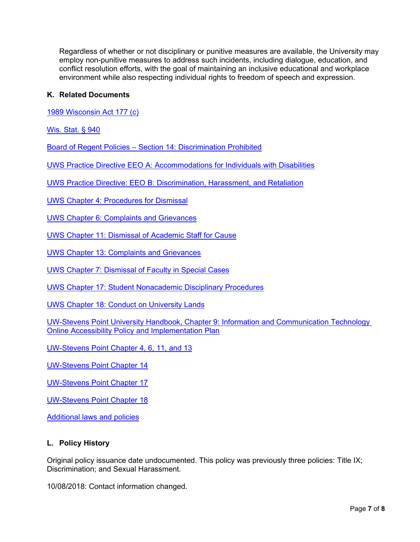Regardless of whether or not disciplinary or punitive measures are available, the University may employ non-punitive measures to address such incidents, including dialogue, education, and conflict resolution efforts, with the goal of maintaining an inclusive educational and workplace environment while also respecting individual rights to freedom of speech and expression.

# **K. Related Documents**

[1989 Wisconsin Act 177 \(c\)](http://docs.legis.wisconsin.gov/1989/related/acts/177.pdf)

[Wis. Stat. § 940](http://docs.legis.wisconsin.gov/statutes/statutes/940)

Board of Regent Policies – [Section 14: Discrimination Prohibited](https://www.wisconsin.edu/regents/policies/section/discrimination/)

[UWS Practice Directive EEO A: Accommodations for Individuals with Disabilities](https://www.wisconsin.edu/ohrwd/practice-directives/accommodations-for-individuals-with-disabilities/)

UWS Practice Directive: EEO [B: Discrimination, Harassment, and Retaliation](https://www.wisconsin.edu/ohrwd/download/policies/ops/eeo5.pdf)

[UWS Chapter 4: Procedures for Dismissal](https://docs.legis.wisconsin.gov/code/admin_code/uws/4)

[UWS Chapter 6: Complaints and Grievances](https://docs.legis.wisconsin.gov/code/admin_code/uws/6)

[UWS Chapter 11: Dismissal of Academic Staff for Cause](https://docs.legis.wisconsin.gov/code/admin_code/uws/11)

[UWS Chapter 13: Complaints and Grievances](https://docs.legis.wisconsin.gov/code/admin_code/uws/13)

[UWS Chapter 7: Dismissal of Faculty in Special Cases](https://docs.legis.wisconsin.gov/code/admin_code/uws/7)

[UWS Chapter 17: Student Nonacademic Disciplinary Procedures](https://docs.legis.wisconsin.gov/code/admin_code/uws/17)

[UWS Chapter 18: Conduct on University Lands](https://docs.legis.wisconsin.gov/code/admin_code/uws/18)

[UW-Stevens Point University Handbook, Chapter 9: Information and Communication Technology](http://www.uwsp.edu/acadaff/Pages/handbook.aspx) [Online Accessibility Policy and Implementation Plan](http://www.uwsp.edu/acadaff/Pages/handbook.aspx)

[UW-Stevens Point Chapter 4,](http://www.uwsp.edu/acadaff/Pages/handbook.aspx) 6, 11, and 13

[UW-Stevens Point Chapter 14](https://www.uwsp.edu/dos/Documents/UWS%2014-1.pdf)

[UW-Stevens Point Chapter 17](https://www.uwsp.edu/dos/Documents/UWSP-CH17-Updated-August2020.pdf)

[UW-Stevens Point Chapter 18](https://www.uwsp.edu/titleIX/Documents/CH18-UWSP-2019.pdf)

[Additional laws and policies](https://www.wisconsin.edu/sexual-assault-harassment/learn-more/)

#### **L. Policy History**

Original policy issuance date undocumented. This policy was previously three policies: Title IX; Discrimination; and Sexual Harassment.

10/08/2018: Contact information changed.